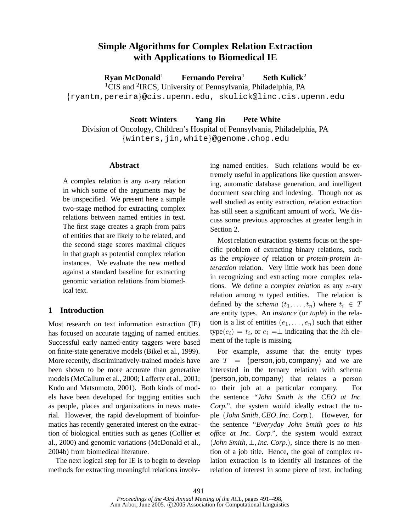# **Simple Algorithms for Complex Relation Extraction with Applications to Biomedical IE**

**Ryan McDonald**<sup>1</sup> **Fernando Pereira**<sup>1</sup> **Seth Kulick**<sup>2</sup>

<sup>1</sup>CIS and <sup>2</sup>IRCS, University of Pennsylvania, Philadelphia, PA

{ryantm,pereira}@cis.upenn.edu, skulick@linc.cis.upenn.edu

**Scott Winters Yang Jin Pete White** Division of Oncology, Children's Hospital of Pennsylvania, Philadelphia, PA {winters,jin,white}@genome.chop.edu

# **Abstract**

A complex relation is any  $n$ -ary relation in which some of the arguments may be be unspecified. We present here a simple two-stage method for extracting complex relations between named entities in text. The first stage creates a graph from pairs of entities that are likely to be related, and the second stage scores maximal cliques in that graph as potential complex relation instances. We evaluate the new method against a standard baseline for extracting genomic variation relations from biomedical text.

# **1 Introduction**

Most research on text information extraction (IE) has focused on accurate tagging of named entities. Successful early named-entity taggers were based on finite-state generative models (Bikel et al., 1999). More recently, discriminatively-trained models have been shown to be more accurate than generative models (McCallum et al., 2000; Lafferty et al., 2001; Kudo and Matsumoto, 2001). Both kinds of models have been developed for tagging entities such as people, places and organizations in news material. However, the rapid development of bioinformatics has recently generated interest on the extraction of biological entities such as genes (Collier et al., 2000) and genomic variations (McDonald et al., 2004b) from biomedical literature.

The next logical step for IE is to begin to develop methods for extracting meaningful relations involving named entities. Such relations would be extremely useful in applications like question answering, automatic database generation, and intelligent document searching and indexing. Though not as well studied as entity extraction, relation extraction has still seen a significant amount of work. We discuss some previous approaches at greater length in Section 2.

Most relation extraction systems focus on the specific problem of extracting binary relations, such as the *employee of* relation or *protein-protein interaction* relation. Very little work has been done in recognizing and extracting more complex relations. We define a *complex relation* as any n-ary relation among  $n$  typed entities. The relation is defined by the *schema*  $(t_1, \ldots, t_n)$  where  $t_i \in T$ are entity types. An *instance* (or *tuple*) in the relation is a list of entities  $(e_1, \ldots, e_n)$  such that either type $(e_i) = t_i$ , or  $e_i = \perp$  indicating that the *i*th element of the tuple is missing.

For example, assume that the entity types are  $T = \{person, job, company\}$  and we are interested in the ternary relation with schema (person, job, company) that relates a person to their job at a particular company. For the sentence *"John Smith is the CEO at Inc. Corp."*, the system would ideally extract the tuple (*John Smith*,*CEO*, *Inc. Corp.*). However, for the sentence *"Everyday John Smith goes to his office at Inc. Corp."*, the system would extract (*John Smith*,  $\perp$ , *Inc. Corp.*), since there is no mention of a job title. Hence, the goal of complex relation extraction is to identify all instances of the relation of interest in some piece of text, including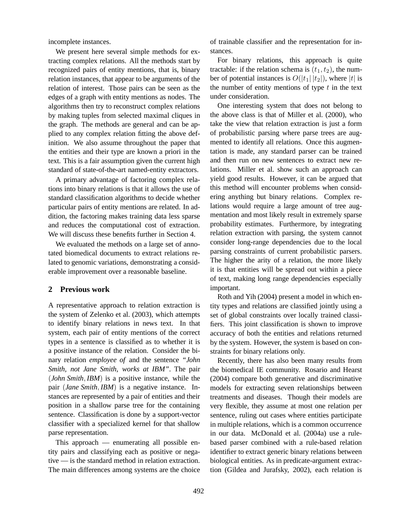incomplete instances.

We present here several simple methods for extracting complex relations. All the methods start by recognized pairs of entity mentions, that is, binary relation instances, that appear to be arguments of the relation of interest. Those pairs can be seen as the edges of a graph with entity mentions as nodes. The algorithms then try to reconstruct complex relations by making tuples from selected maximal cliques in the graph. The methods are general and can be applied to any complex relation fitting the above definition. We also assume throughout the paper that the entities and their type are known a priori in the text. This is a fair assumption given the current high standard of state-of-the-art named-entity extractors.

A primary advantage of factoring complex relations into binary relations is that it allows the use of standard classification algorithms to decide whether particular pairs of entity mentions are related. In addition, the factoring makes training data less sparse and reduces the computational cost of extraction. We will discuss these benefits further in Section 4.

We evaluated the methods on a large set of annotated biomedical documents to extract relations related to genomic variations, demonstrating a considerable improvement over a reasonable baseline.

# **2 Previous work**

A representative approach to relation extraction is the system of Zelenko et al. (2003), which attempts to identify binary relations in news text. In that system, each pair of entity mentions of the correct types in a sentence is classified as to whether it is a positive instance of the relation. Consider the binary relation *employee of* and the sentence *"John Smith, not Jane Smith, works at IBM"*. The pair (*John Smith*, *IBM*) is a positive instance, while the pair (*Jane Smith*, *IBM*) is a negative instance. Instances are represented by a pair of entities and their position in a shallow parse tree for the containing sentence. Classification is done by a support-vector classifier with a specialized kernel for that shallow parse representation.

This approach — enumerating all possible entity pairs and classifying each as positive or negative — is the standard method in relation extraction. The main differences among systems are the choice of trainable classifier and the representation for instances.

For binary relations, this approach is quite tractable: if the relation schema is  $(t_1, t_2)$ , the number of potential instances is  $O(|t_1| |t_2|)$ , where |t| is the number of entity mentions of type  $t$  in the text under consideration.

One interesting system that does not belong to the above class is that of Miller et al. (2000), who take the view that relation extraction is just a form of probabilistic parsing where parse trees are augmented to identify all relations. Once this augmentation is made, any standard parser can be trained and then run on new sentences to extract new relations. Miller et al. show such an approach can yield good results. However, it can be argued that this method will encounter problems when considering anything but binary relations. Complex relations would require a large amount of tree augmentation and most likely result in extremely sparse probability estimates. Furthermore, by integrating relation extraction with parsing, the system cannot consider long-range dependencies due to the local parsing constraints of current probabilistic parsers. The higher the arity of a relation, the more likely it is that entities will be spread out within a piece of text, making long range dependencies especially important.

Roth and Yih (2004) present a model in which entity types and relations are classified jointly using a set of global constraints over locally trained classifiers. This joint classification is shown to improve accuracy of both the entities and relations returned by the system. However, the system is based on constraints for binary relations only.

Recently, there has also been many results from the biomedical IE community. Rosario and Hearst (2004) compare both generative and discriminative models for extracting seven relationships between treatments and diseases. Though their models are very flexible, they assume at most one relation per sentence, ruling out cases where entities participate in multiple relations, which is a common occurrence in our data. McDonald et al. (2004a) use a rulebased parser combined with a rule-based relation identifier to extract generic binary relations between biological entities. As in predicate-argument extraction (Gildea and Jurafsky, 2002), each relation is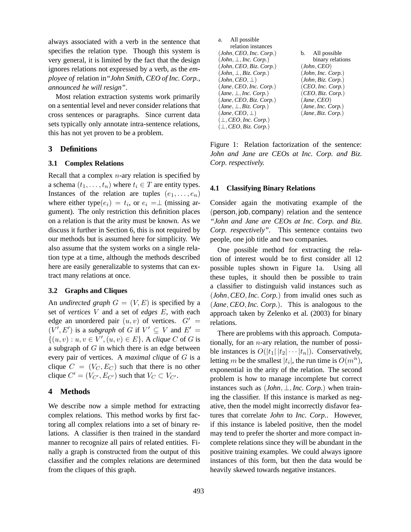always associated with a verb in the sentence that specifies the relation type. Though this system is very general, it is limited by the fact that the design ignores relations not expressed by a verb, as the *employee of* relation in*"John Smith, CEO of Inc. Corp., announced he will resign"*.

Most relation extraction systems work primarily on a sentential level and never consider relations that cross sentences or paragraphs. Since current data sets typically only annotate intra-sentence relations, this has not yet proven to be a problem.

# **3 Definitions**

#### **3.1 Complex Relations**

Recall that a complex  $n$ -ary relation is specified by a schema  $(t_1, \ldots, t_n)$  where  $t_i \in T$  are entity types. Instances of the relation are tuples  $(e_1, \ldots, e_n)$ where either type $(e_i) = t_i$ , or  $e_i = \perp$  (missing argument). The only restriction this definition places on a relation is that the arity must be known. As we discuss it further in Section 6, this is not required by our methods but is assumed here for simplicity. We also assume that the system works on a single relation type at a time, although the methods described here are easily generalizable to systems that can extract many relations at once.

#### **3.2 Graphs and Cliques**

An *undirected* graph  $G = (V, E)$  is specified by a set of *vertices* V and a set of *edges* E, with each edge an unordered pair  $(u, v)$  of vertices.  $G' =$  $(V', E')$  is a *subgraph* of G if  $V' \subseteq V$  and  $E' =$  $\{(u, v) : u, v \in V', (u, v) \in E\}$ . A *clique* C of G is a subgraph of  $G$  in which there is an edge between every pair of vertices. A *maximal clique* of G is a clique  $C = (V_C, E_C)$  such that there is no other clique  $C' = (V_{C'}, E_{C'})$  such that  $V_C \subset V_{C'}$ .

#### **4 Methods**

We describe now a simple method for extracting complex relations. This method works by first factoring all complex relations into a set of binary relations. A classifier is then trained in the standard manner to recognize all pairs of related entities. Finally a graph is constructed from the output of this classifier and the complex relations are determined from the cliques of this graph.

| a. All possible                      |                               |
|--------------------------------------|-------------------------------|
| relation instances                   |                               |
| (John, CEO, Inc. Corp.)              | All possible<br>b.            |
| $(John, \perp, Inc. Corp.)$          | binary relations              |
| (John, CEO, Biz. Corp.)              | (John, CEO)                   |
| $(John, \perp, Biz. Corp.)$          | (John, Inc. Corp.)            |
| $(John, CEO, \perp)$                 | (John, Biz. Corp.)            |
| (Jane, CEO, Inc. Corp.)              | (CEO, Inc. Corp.)             |
| $(Jane, \perp, Inc. Corp.)$          | $(CEO, Biz. \textit{Corp.})$  |
| (Jane, CEO, Biz. Corp.)              | (Jane, CEO)                   |
| $(Jane, \perp, Biz. \textit{Corp.})$ | (Jane, Inc. Corp.)            |
| $(Jane, CEO, \perp)$                 | $(Jane, Biz. \textit{Corp.})$ |
| $(\perp, CEO, Inc. Corp.)$           |                               |
| $(\perp, CEO, Biz. \textit{Corp.})$  |                               |

Figure 1: Relation factorization of the sentence: *John and Jane are CEOs at Inc. Corp. and Biz. Corp. respectively.*

#### **4.1 Classifying Binary Relations**

Consider again the motivating example of the (person, job, company) relation and the sentence *"John and Jane are CEOs at Inc. Corp. and Biz. Corp. respectively"*. This sentence contains two people, one job title and two companies.

One possible method for extracting the relation of interest would be to first consider all 12 possible tuples shown in Figure 1a. Using all these tuples, it should then be possible to train a classifier to distinguish valid instances such as (*John*,*CEO*, *Inc. Corp.*) from invalid ones such as (*Jane*,*CEO*, *Inc. Corp.*). This is analogous to the approach taken by Zelenko et al. (2003) for binary relations.

There are problems with this approach. Computationally, for an  $n$ -ary relation, the number of possible instances is  $O(|t_1||t_2|\cdots|t_n|)$ . Conservatively, letting m be the smallest  $|t_i|$ , the run time is  $O(m^n)$ , exponential in the arity of the relation. The second problem is how to manage incomplete but correct instances such as  $(John, \perp, Inc. \text{ Corp.})$  when training the classifier. If this instance is marked as negative, then the model might incorrectly disfavor features that correlate *John* to *Inc. Corp.*. However, if this instance is labeled positive, then the model may tend to prefer the shorter and more compact incomplete relations since they will be abundant in the positive training examples. We could always ignore instances of this form, but then the data would be heavily skewed towards negative instances.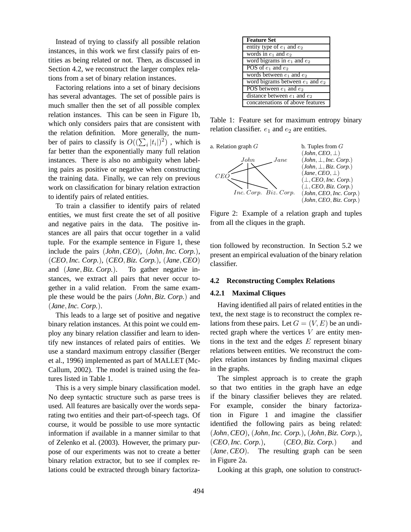Instead of trying to classify all possible relation instances, in this work we first classify pairs of entities as being related or not. Then, as discussed in Section 4.2, we reconstruct the larger complex relations from a set of binary relation instances.

Factoring relations into a set of binary decisions has several advantages. The set of possible pairs is much smaller then the set of all possible complex relation instances. This can be seen in Figure 1b, which only considers pairs that are consistent with the relation definition. More generally, the number of pairs to classify is  $O((\sum_i |t_i|)^2)$ , which is far better than the exponentially many full relation instances. There is also no ambiguity when labeling pairs as positive or negative when constructing the training data. Finally, we can rely on previous work on classification for binary relation extraction to identify pairs of related entities.

To train a classifier to identify pairs of related entities, we must first create the set of all positive and negative pairs in the data. The positive instances are all pairs that occur together in a valid tuple. For the example sentence in Figure 1, these include the pairs (*John*,*CEO*), (*John*, *Inc. Corp.*), (*CEO*, *Inc. Corp.*), (*CEO*, *Biz. Corp.*), (*Jane*,*CEO*) and (*Jane*, *Biz. Corp.*). To gather negative instances, we extract all pairs that never occur together in a valid relation. From the same example these would be the pairs (*John*, *Biz. Corp.*) and (*Jane*, *Inc. Corp.*).

This leads to a large set of positive and negative binary relation instances. At this point we could employ any binary relation classifier and learn to identify new instances of related pairs of entities. We use a standard maximum entropy classifier (Berger et al., 1996) implemented as part of MALLET (Mc-Callum, 2002). The model is trained using the features listed in Table 1.

This is a very simple binary classification model. No deep syntactic structure such as parse trees is used. All features are basically over the words separating two entities and their part-of-speech tags. Of course, it would be possible to use more syntactic information if available in a manner similar to that of Zelenko et al. (2003). However, the primary purpose of our experiments was not to create a better binary relation extractor, but to see if complex relations could be extracted through binary factoriza-

| <b>Feature Set</b>                   |  |  |
|--------------------------------------|--|--|
| entity type of $e_1$ and $e_2$       |  |  |
| words in $e_1$ and $e_2$             |  |  |
| word bigrams in $e_1$ and $e_2$      |  |  |
| POS of $e_1$ and $e_2$               |  |  |
| words between $e_1$ and $e_2$        |  |  |
| word bigrams between $e_1$ and $e_2$ |  |  |
| POS between $e_1$ and $e_2$          |  |  |
| distance between $e_1$ and $e_2$     |  |  |
| concatenations of above features     |  |  |

Table 1: Feature set for maximum entropy binary relation classifier.  $e_1$  and  $e_2$  are entities.



Figure 2: Example of a relation graph and tuples from all the cliques in the graph.

tion followed by reconstruction. In Section 5.2 we present an empirical evaluation of the binary relation classifier.

# **4.2 Reconstructing Complex Relations**

## **4.2.1 Maximal Cliques**

Having identified all pairs of related entities in the text, the next stage is to reconstruct the complex relations from these pairs. Let  $G = (V, E)$  be an undirected graph where the vertices  $V$  are entity mentions in the text and the edges  $E$  represent binary relations between entities. We reconstruct the complex relation instances by finding maximal cliques in the graphs.

The simplest approach is to create the graph so that two entities in the graph have an edge if the binary classifier believes they are related. For example, consider the binary factorization in Figure 1 and imagine the classifier identified the following pairs as being related: (*John*,*CEO*), (*John*, *Inc. Corp.*), (*John*, *Biz. Corp.*), (*CEO*, *Inc. Corp.*), (*CEO*, *Biz. Corp.*) and (*Jane*,*CEO*). The resulting graph can be seen in Figure 2a.

Looking at this graph, one solution to construct-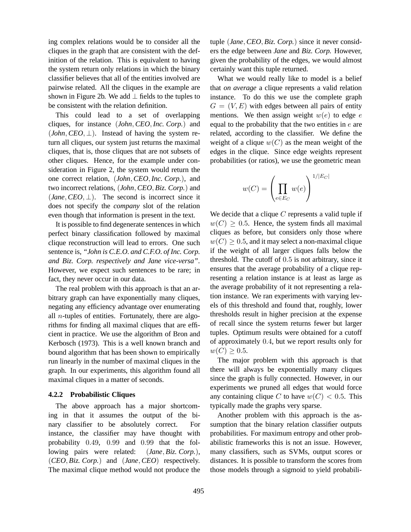ing complex relations would be to consider all the cliques in the graph that are consistent with the definition of the relation. This is equivalent to having the system return only relations in which the binary classifier believes that all of the entities involved are pairwise related. All the cliques in the example are shown in Figure 2b. We add  $\perp$  fields to the tuples to be consistent with the relation definition.

This could lead to a set of overlapping cliques, for instance (*John*,*CEO*, *Inc. Corp.*) and  $(John, CEO, \perp)$ . Instead of having the system return all cliques, our system just returns the maximal cliques, that is, those cliques that are not subsets of other cliques. Hence, for the example under consideration in Figure 2, the system would return the one correct relation, (*John*,*CEO*, *Inc. Corp.*), and two incorrect relations, (*John*,*CEO*, *Biz. Corp.*) and  $(Jane, CEO, \perp)$ . The second is incorrect since it does not specify the *company* slot of the relation even though that information is present in the text.

It is possible to find degenerate sentences in which perfect binary classification followed by maximal clique reconstruction will lead to errors. One such sentence is, *"John is C.E.O. and C.F.O. of Inc. Corp. and Biz. Corp. respectively and Jane vice-versa"*. However, we expect such sentences to be rare; in fact, they never occur in our data.

The real problem with this approach is that an arbitrary graph can have exponentially many cliques, negating any efficiency advantage over enumerating all *n*-tuples of entities. Fortunately, there are algorithms for finding all maximal cliques that are efficient in practice. We use the algorithm of Bron and Kerbosch (1973). This is a well known branch and bound algorithm that has been shown to empirically run linearly in the number of maximal cliques in the graph. In our experiments, this algorithm found all maximal cliques in a matter of seconds.

#### **4.2.2 Probabilistic Cliques**

The above approach has a major shortcoming in that it assumes the output of the binary classifier to be absolutely correct. For instance, the classifier may have thought with probability 0.49, 0.99 and 0.99 that the following pairs were related: (*Jane*, *Biz. Corp.*), (*CEO*, *Biz. Corp.*) and (*Jane*,*CEO*) respectively. The maximal clique method would not produce the tuple (*Jane*,*CEO*, *Biz. Corp.*) since it never considers the edge between *Jane* and *Biz. Corp.* However, given the probability of the edges, we would almost certainly want this tuple returned.

What we would really like to model is a belief that *on average* a clique represents a valid relation instance. To do this we use the complete graph  $G = (V, E)$  with edges between all pairs of entity mentions. We then assign weight  $w(e)$  to edge e equal to the probability that the two entities in  $e$  are related, according to the classifier. We define the weight of a clique  $w(C)$  as the mean weight of the edges in the clique. Since edge weights represent probabilities (or ratios), we use the geometric mean

$$
w(C) = \left(\prod_{e \in E_C} w(e)\right)^{1/|E_C|}
$$

We decide that a clique  $C$  represents a valid tuple if  $w(C) \geq 0.5$ . Hence, the system finds all maximal cliques as before, but considers only those where  $w(C) \geq 0.5$ , and it may select a non-maximal clique if the weight of all larger cliques falls below the threshold. The cutoff of 0.5 is not arbitrary, since it ensures that the average probability of a clique representing a relation instance is at least as large as the average probability of it not representing a relation instance. We ran experiments with varying levels of this threshold and found that, roughly, lower thresholds result in higher precision at the expense of recall since the system returns fewer but larger tuples. Optimum results were obtained for a cutoff of approximately 0.4, but we report results only for  $w(C) \geq 0.5$ .

The major problem with this approach is that there will always be exponentially many cliques since the graph is fully connected. However, in our experiments we pruned all edges that would force any containing clique C to have  $w(C) < 0.5$ . This typically made the graphs very sparse.

Another problem with this approach is the assumption that the binary relation classifier outputs probabilities. For maximum entropy and other probabilistic frameworks this is not an issue. However, many classifiers, such as SVMs, output scores or distances. It is possible to transform the scores from those models through a sigmoid to yield probabili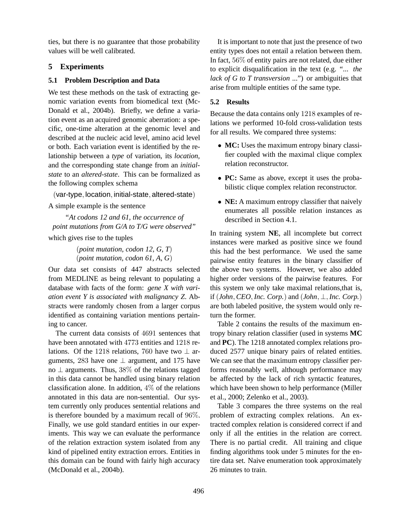ties, but there is no guarantee that those probability values will be well calibrated.

# **5 Experiments**

## **5.1 Problem Description and Data**

We test these methods on the task of extracting genomic variation events from biomedical text (Mc-Donald et al., 2004b). Briefly, we define a variation event as an acquired genomic aberration: a specific, one-time alteration at the genomic level and described at the nucleic acid level, amino acid level or both. Each variation event is identified by the relationship between a *type* of variation, its *location*, and the corresponding state change from an *initialstate* to an *altered-state*. This can be formalized as the following complex schema

(var-type, location, initial-state, altered-state)

A simple example is the sentence

*"At codons 12 and 61, the occurrence of point mutations from G/A to T/G were observed"* which gives rise to the tuples

> (*point mutation, codon 12, G, T*) (*point mutation, codon 61, A, G*)

Our data set consists of 447 abstracts selected from MEDLINE as being relevant to populating a database with facts of the form: *gene X with variation event Y is associated with malignancy Z*. Abstracts were randomly chosen from a larger corpus identified as containing variation mentions pertaining to cancer.

The current data consists of 4691 sentences that have been annotated with 4773 entities and 1218 relations. Of the 1218 relations, 760 have two  $\perp$  arguments, 283 have one  $\perp$  argument, and 175 have no ⊥ arguments. Thus, 38% of the relations tagged in this data cannot be handled using binary relation classification alone. In addition, 4% of the relations annotated in this data are non-sentential. Our system currently only produces sentential relations and is therefore bounded by a maximum recall of 96%. Finally, we use gold standard entities in our experiments. This way we can evaluate the performance of the relation extraction system isolated from any kind of pipelined entity extraction errors. Entities in this domain can be found with fairly high accuracy (McDonald et al., 2004b).

It is important to note that just the presence of two entity types does not entail a relation between them. In fact, 56% of entity pairs are not related, due either to explicit disqualification in the text (e.g. *"... the lack of G to T transversion ..."*) or ambiguities that arise from multiple entities of the same type.

# **5.2 Results**

Because the data contains only 1218 examples of relations we performed 10-fold cross-validation tests for all results. We compared three systems:

- **MC:** Uses the maximum entropy binary classifier coupled with the maximal clique complex relation reconstructor.
- **PC:** Same as above, except it uses the probabilistic clique complex relation reconstructor.
- **NE:** A maximum entropy classifier that naively enumerates all possible relation instances as described in Section 4.1.

In training system **NE**, all incomplete but correct instances were marked as positive since we found this had the best performance. We used the same pairwise entity features in the binary classifier of the above two systems. However, we also added higher order versions of the pairwise features. For this system we only take maximal relations,that is, if  $(John, CEO, Inc. Corp.)$  and  $(John, \perp, Inc. Corp.)$ are both labeled positive, the system would only return the former.

Table 2 contains the results of the maximum entropy binary relation classifier (used in systems **MC** and **PC**). The 1218 annotated complex relations produced 2577 unique binary pairs of related entities. We can see that the maximum entropy classifier performs reasonably well, although performance may be affected by the lack of rich syntactic features, which have been shown to help performance (Miller et al., 2000; Zelenko et al., 2003).

Table 3 compares the three systems on the real problem of extracting complex relations. An extracted complex relation is considered correct if and only if all the entities in the relation are correct. There is no partial credit. All training and clique finding algorithms took under 5 minutes for the entire data set. Naive enumeration took approximately 26 minutes to train.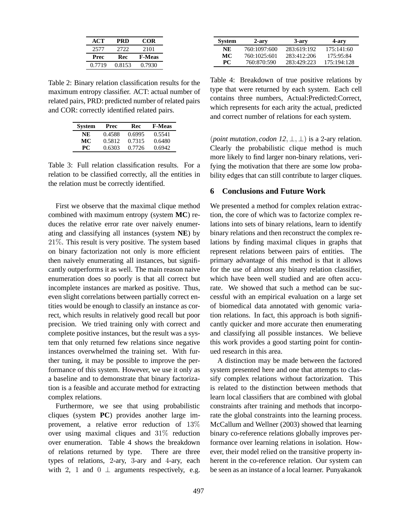| ACT  | PRD  | COR           |
|------|------|---------------|
| 2577 | 2722 | 2101          |
|      |      |               |
| Prec | Rec  | <b>F-Meas</b> |

Table 2: Binary relation classification results for the maximum entropy classifier. ACT: actual number of related pairs, PRD: predicted number of related pairs and COR: correctly identified related pairs.

| <b>System</b> | Prec   | Rec    | <b>F-Meas</b> |
|---------------|--------|--------|---------------|
| NE.           | 0.4588 | 0.6995 | 0.5541        |
| MС            | 0.5812 | 0.7315 | 0.6480        |
| PС            | 0.6303 | 0.7726 | 0.6942        |

Table 3: Full relation classification results. For a relation to be classified correctly, all the entities in the relation must be correctly identified.

First we observe that the maximal clique method combined with maximum entropy (system **MC**) reduces the relative error rate over naively enumerating and classifying all instances (system **NE**) by 21%. This result is very positive. The system based on binary factorization not only is more efficient then naively enumerating all instances, but significantly outperforms it as well. The main reason naive enumeration does so poorly is that all correct but incomplete instances are marked as positive. Thus, even slight correlations between partially correct entities would be enough to classify an instance as correct, which results in relatively good recall but poor precision. We tried training only with correct and complete positive instances, but the result was a system that only returned few relations since negative instances overwhelmed the training set. With further tuning, it may be possible to improve the performance of this system. However, we use it only as a baseline and to demonstrate that binary factorization is a feasible and accurate method for extracting complex relations.

Furthermore, we see that using probabilistic cliques (system **PC**) provides another large improvement, a relative error reduction of 13% over using maximal cliques and 31% reduction over enumeration. Table 4 shows the breakdown of relations returned by type. There are three types of relations, 2-ary, 3-ary and 4-ary, each with 2, 1 and  $0 \perp$  arguments respectively, e.g.

| <b>System</b> | 2-ary        | $3-ary$     | 4-ary       |
|---------------|--------------|-------------|-------------|
| NE.           | 760:1097:600 | 283:619:192 | 175:141:60  |
| MС            | 760:1025:601 | 283:412:206 | 175:95:84   |
| PС            | 760:870:590  | 283:429:223 | 175:194:128 |

Table 4: Breakdown of true positive relations by type that were returned by each system. Each cell contains three numbers, Actual:Predicted:Correct, which represents for each arity the actual, predicted and correct number of relations for each system.

(*point mutation*, *codon*  $12, \perp, \perp$ ) is a 2-ary relation. Clearly the probabilistic clique method is much more likely to find larger non-binary relations, verifying the motivation that there are some low probability edges that can still contribute to larger cliques.

## **6 Conclusions and Future Work**

We presented a method for complex relation extraction, the core of which was to factorize complex relations into sets of binary relations, learn to identify binary relations and then reconstruct the complex relations by finding maximal cliques in graphs that represent relations between pairs of entities. The primary advantage of this method is that it allows for the use of almost any binary relation classifier, which have been well studied and are often accurate. We showed that such a method can be successful with an empirical evaluation on a large set of biomedical data annotated with genomic variation relations. In fact, this approach is both significantly quicker and more accurate then enumerating and classifying all possible instances. We believe this work provides a good starting point for continued research in this area.

A distinction may be made between the factored system presented here and one that attempts to classify complex relations without factorization. This is related to the distinction between methods that learn local classifiers that are combined with global constraints after training and methods that incorporate the global constraints into the learning process. McCallum and Wellner (2003) showed that learning binary co-reference relations globally improves performance over learning relations in isolation. However, their model relied on the transitive property inherent in the co-reference relation. Our system can be seen as an instance of a local learner. Punyakanok